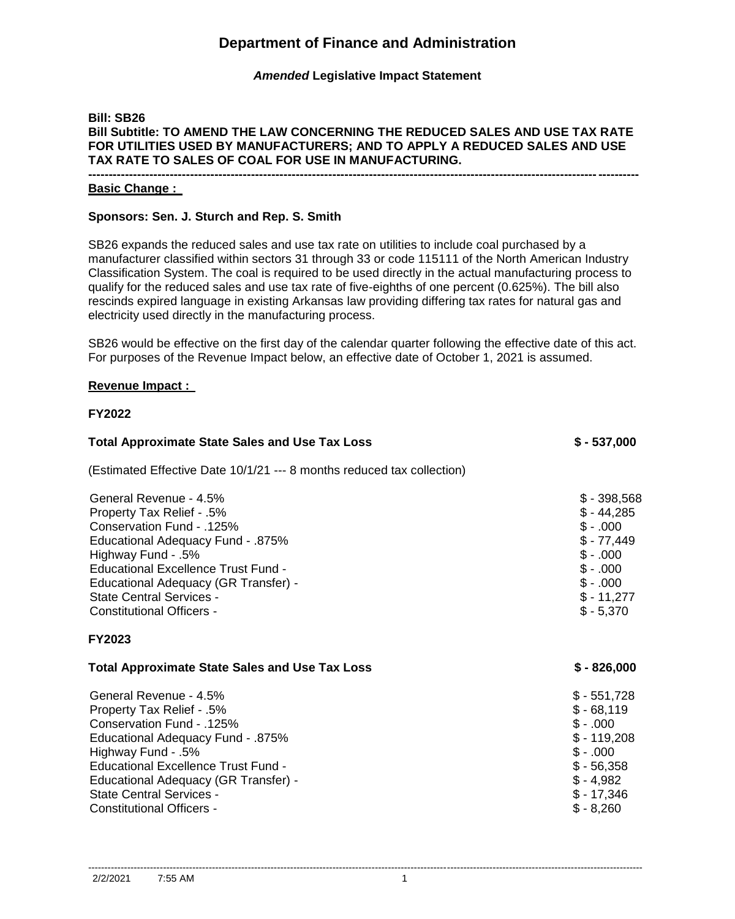# **Department of Finance and Administration**

# *Amended* **Legislative Impact Statement**

### **Bill: SB26 Bill Subtitle: TO AMEND THE LAW CONCERNING THE REDUCED SALES AND USE TAX RATE FOR UTILITIES USED BY MANUFACTURERS; AND TO APPLY A REDUCED SALES AND USE TAX RATE TO SALES OF COAL FOR USE IN MANUFACTURING. ---------------------------------------------------------------------------------------------------------------------------------------**

**Basic Change :** 

### **Sponsors: Sen. J. Sturch and Rep. S. Smith**

SB26 expands the reduced sales and use tax rate on utilities to include coal purchased by a manufacturer classified within sectors 31 through 33 or code 115111 of the North American Industry Classification System. The coal is required to be used directly in the actual manufacturing process to qualify for the reduced sales and use tax rate of five-eighths of one percent (0.625%). The bill also rescinds expired language in existing Arkansas law providing differing tax rates for natural gas and electricity used directly in the manufacturing process.

SB26 would be effective on the first day of the calendar quarter following the effective date of this act. For purposes of the Revenue Impact below, an effective date of October 1, 2021 is assumed.

#### **Revenue Impact :**

#### **FY2022**

| <b>Total Approximate State Sales and Use Tax Loss</b>                                                                                                                                                                                                                                                    | $$ - 537,000$                                                                                                               |
|----------------------------------------------------------------------------------------------------------------------------------------------------------------------------------------------------------------------------------------------------------------------------------------------------------|-----------------------------------------------------------------------------------------------------------------------------|
| (Estimated Effective Date 10/1/21 --- 8 months reduced tax collection)                                                                                                                                                                                                                                   |                                                                                                                             |
| General Revenue - 4.5%<br>Property Tax Relief - .5%<br>Conservation Fund - .125%<br><b>Educational Adequacy Fund - .875%</b><br>Highway Fund - .5%<br>Educational Excellence Trust Fund -<br>Educational Adequacy (GR Transfer) -<br><b>State Central Services -</b><br>Constitutional Officers -        | $$ -398,568$<br>$$ -44,285$<br>$$-.000$<br>$$-77,449$<br>$$-.000$<br>$$-.000$<br>$$-.000$<br>$$ -11,277$<br>$$ -5,370$      |
| <b>FY2023</b>                                                                                                                                                                                                                                                                                            |                                                                                                                             |
| <b>Total Approximate State Sales and Use Tax Loss</b>                                                                                                                                                                                                                                                    | $$ - 826,000$                                                                                                               |
| General Revenue - 4.5%<br>Property Tax Relief - .5%<br>Conservation Fund - .125%<br><b>Educational Adequacy Fund - .875%</b><br>Highway Fund - .5%<br>Educational Excellence Trust Fund -<br>Educational Adequacy (GR Transfer) -<br><b>State Central Services -</b><br><b>Constitutional Officers -</b> | $$-551,728$<br>$$ -68,119$<br>$$-.000$<br>$$-119,208$<br>$$-.000$<br>$$ -56,358$<br>$$ -4,982$<br>$$ -17,346$<br>$$ -8,260$ |